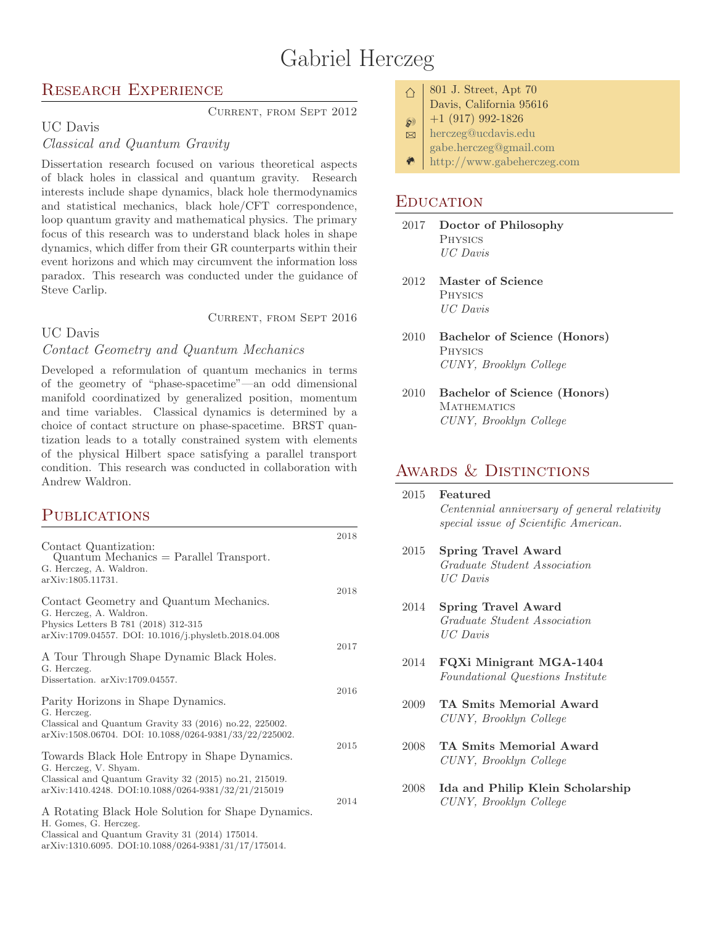# Gabriel Herczeg

#### Research Experience

Current, from Sept 2012

# UC Davis

# Classical and Quantum Gravity

Dissertation research focused on various theoretical aspects of black holes in classical and quantum gravity. Research interests include shape dynamics, black hole thermodynamics and statistical mechanics, black hole/CFT correspondence, loop quantum gravity and mathematical physics. The primary focus of this research was to understand black holes in shape dynamics, which differ from their GR counterparts within their event horizons and which may circumvent the information loss paradox. This research was conducted under the guidance of Steve Carlip.

Current, from Sept 2016

#### UC Davis

#### Contact Geometry and Quantum Mechanics

Developed a reformulation of quantum mechanics in terms of the geometry of "phase-spacetime"—an odd dimensional manifold coordinatized by generalized position, momentum and time variables. Classical dynamics is determined by a choice of contact structure on phase-spacetime. BRST quantization leads to a totally constrained system with elements of the physical Hilbert space satisfying a parallel transport condition. This research was conducted in collaboration with Andrew Waldron.

#### **PUBLICATIONS**

| Contact Quantization:<br>$Quantum Mechanics = Parallel Transport.$<br>G. Herczeg, A. Waldron.<br>arXiv:1805.11731.                                                                                                                            | 2018 |
|-----------------------------------------------------------------------------------------------------------------------------------------------------------------------------------------------------------------------------------------------|------|
| Contact Geometry and Quantum Mechanics.<br>G. Herczeg, A. Waldron.<br>Physics Letters B 781 (2018) 312-315                                                                                                                                    | 2018 |
| arXiv:1709.04557. DOI: 10.1016/j.physletb.2018.04.008<br>A Tour Through Shape Dynamic Black Holes.<br>G. Herczeg.<br>Dissertation. arXiv:1709.04557.                                                                                          | 2017 |
| Parity Horizons in Shape Dynamics.<br>G. Herczeg.<br>Classical and Quantum Gravity 33 (2016) no.22, 225002.                                                                                                                                   | 2016 |
| arXiv:1508.06704. DOI: 10.1088/0264-9381/33/22/225002.<br>Towards Black Hole Entropy in Shape Dynamics.<br>G. Herczeg, V. Shyam.<br>Classical and Quantum Gravity 32 (2015) no.21, 215019.                                                    | 2015 |
| arXiv:1410.4248. DOI:10.1088/0264-9381/32/21/215019<br>A Rotating Black Hole Solution for Shape Dynamics.<br>H. Gomes, G. Herczeg.<br>Classical and Quantum Gravity 31 (2014) 175014.<br>arXiv:1310.6095. DOI:10.1088/0264-9381/31/17/175014. | 2014 |

|  | $\vert$ 801 J. Street, Apt 70 |  |
|--|-------------------------------|--|
|  | Davis, California 95616       |  |

- $\wp$  +1 (917) 992-1826
- **B** [herczeg@ucdavis.edu](mailto:john@smith.com)
	- [gabe.herczeg@gmail.com](mailto:john@smith.com)
- $\bullet$  | <http://www.gabeherczeg.com>

#### **EDUCATION**

∩

- 2017 Doctor of Philosophy **PHYSICS** UC Davis
- 2012 Master of Science Physics UC Davis
- 2010 Bachelor of Science (Honors) Physics CUNY, Brooklyn College
- 2010 Bachelor of Science (Honors) **MATHEMATICS** CUNY, Brooklyn College

#### AWARDS & DISTINCTIONS

| 2015 | Featured<br>Centennial anniversary of general relativity<br>special issue of Scientific American. |
|------|---------------------------------------------------------------------------------------------------|
| 2015 | <b>Spring Travel Award</b><br>Graduate Student Association<br>$UC$ Davis                          |
| 2014 | Spring Travel Award<br>Graduate Student Association<br>$\textit{UC}$ Davis                        |
| 2014 | FQXi Minigrant MGA-1404<br>Foundational Questions Institute                                       |
| 2009 | TA Smits Memorial Award<br>CUNY, Brooklyn College                                                 |
| 2008 | TA Smits Memorial Award<br>CUNY, Brooklyn College                                                 |
| 2008 | Ida and Philip Klein Scholarship<br>CUNY, Brooklyn College                                        |
|      |                                                                                                   |